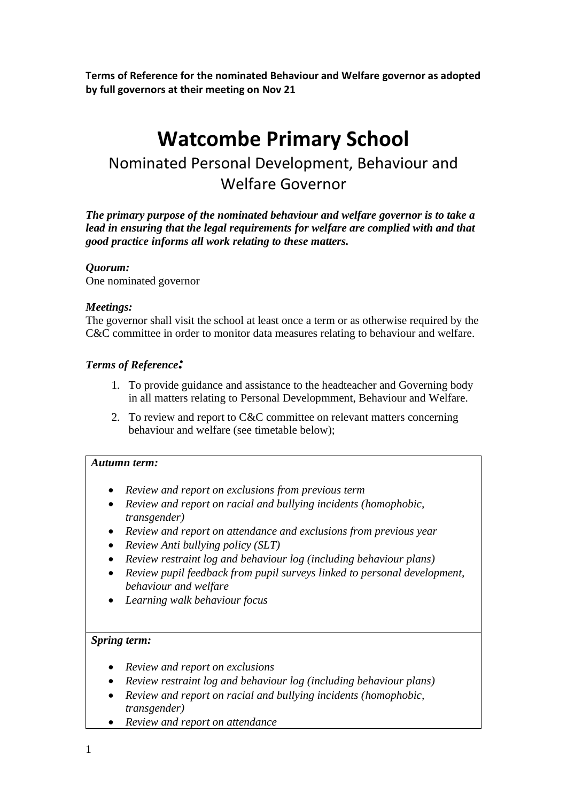**Terms of Reference for the nominated Behaviour and Welfare governor as adopted by full governors at their meeting on Nov 21**

# **Watcombe Primary School**

# Nominated Personal Development, Behaviour and Welfare Governor

*The primary purpose of the nominated behaviour and welfare governor is to take a lead in ensuring that the legal requirements for welfare are complied with and that good practice informs all work relating to these matters.* 

## *Quorum:*

One nominated governor

# *Meetings:*

The governor shall visit the school at least once a term or as otherwise required by the C&C committee in order to monitor data measures relating to behaviour and welfare.

# *Terms of Reference:*

- 1. To provide guidance and assistance to the headteacher and Governing body in all matters relating to Personal Developmment, Behaviour and Welfare.
- 2. To review and report to C&C committee on relevant matters concerning behaviour and welfare (see timetable below);

## *Autumn term:*

- *Review and report on exclusions from previous term*
- *Review and report on racial and bullying incidents (homophobic, transgender)*
- *Review and report on attendance and exclusions from previous year*
- *Review Anti bullying policy (SLT)*
- *Review restraint log and behaviour log (including behaviour plans)*
- *Review pupil feedback from pupil surveys linked to personal development, behaviour and welfare*
- *Learning walk behaviour focus*

## *Spring term:*

- *Review and report on exclusions*
- *Review restraint log and behaviour log (including behaviour plans)*
- *Review and report on racial and bullying incidents (homophobic, transgender)*
- *Review and report on attendance*